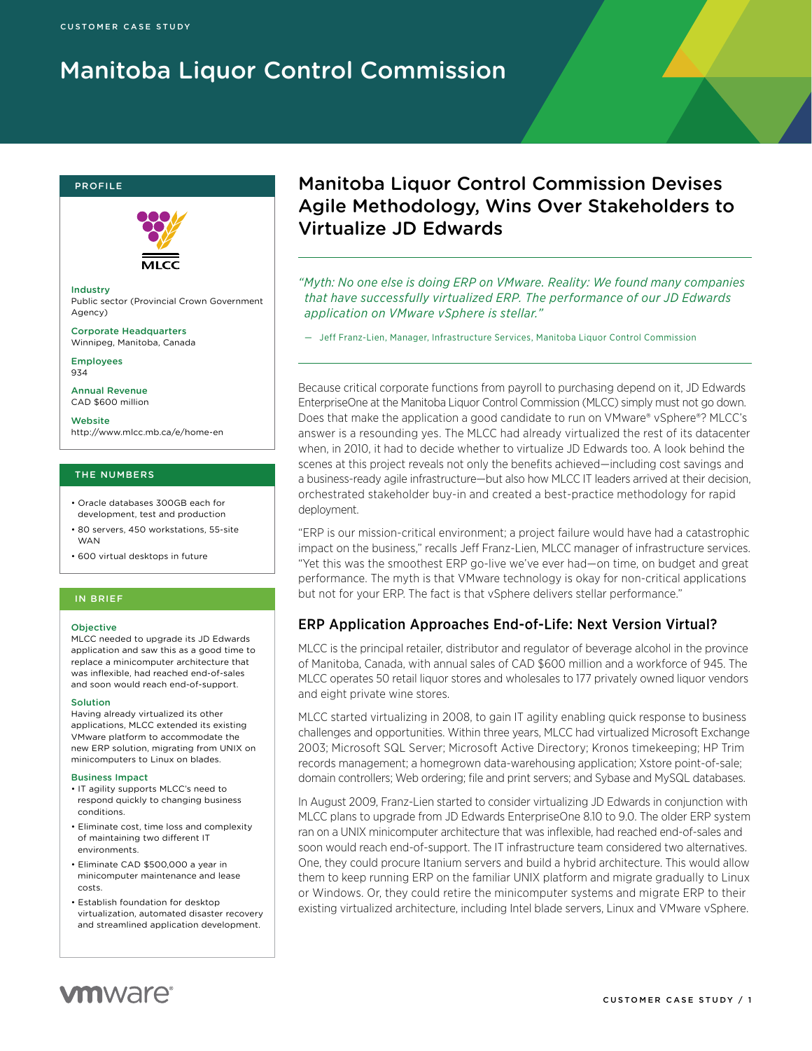# Manitoba Liquor Control Commission

#### profile



Industry Public sector (Provincial Crown Government Agency)

Corporate Headquarters Winnipeg, Manitoba, Canada

Employees 934

Annual Revenue CAD \$600 million

Website http://www.mlcc.mb.ca/e/home-en

### THE NUMBERS

- Oracle databases 300GB each for development, test and production
- 80 servers, 450 workstations, 55-site WAN
- 600 virtual desktops in future

### IN BRIEF

#### **Objective**

MLCC needed to upgrade its JD Edwards application and saw this as a good time to replace a minicomputer architecture that was inflexible, had reached end-of-sales and soon would reach end-of-support.

#### Solution

Having already virtualized its other applications, MLCC extended its existing VMware platform to accommodate the new ERP solution, migrating from UNIX on minicomputers to Linux on blades.

#### Business Impact

- IT agility supports MLCC's need to respond quickly to changing business conditions.
- Eliminate cost, time loss and complexity of maintaining two different IT environments.
- Eliminate CAD \$500,000 a year in minicomputer maintenance and lease costs.
- Establish foundation for desktop virtualization, automated disaster recovery and streamlined application development.

# Manitoba Liquor Control Commission Devises Agile Methodology, Wins Over Stakeholders to Virtualize JD Edwards

*"Myth: No one else is doing ERP on VMware. Reality: We found many companies that have successfully virtualized ERP. The performance of our JD Edwards application on VMware vSphere is stellar."*

— Jeff Franz-Lien, Manager, Infrastructure Services, Manitoba Liquor Control Commission

Because critical corporate functions from payroll to purchasing depend on it, JD Edwards EnterpriseOne at the Manitoba Liquor Control Commission (MLCC) simply must not go down. Does that make the application a good candidate to run on VMware® vSphere®? MLCC's answer is a resounding yes. The MLCC had already virtualized the rest of its datacenter when, in 2010, it had to decide whether to virtualize JD Edwards too. A look behind the scenes at this project reveals not only the benefits achieved—including cost savings and a business-ready agile infrastructure—but also how MLCC IT leaders arrived at their decision, orchestrated stakeholder buy-in and created a best-practice methodology for rapid deployment.

"ERP is our mission-critical environment; a project failure would have had a catastrophic impact on the business," recalls Jeff Franz-Lien, MLCC manager of infrastructure services. "Yet this was the smoothest ERP go-live we've ever had—on time, on budget and great performance. The myth is that VMware technology is okay for non-critical applications but not for your ERP. The fact is that vSphere delivers stellar performance."

### ERP Application Approaches End-of-Life: Next Version Virtual?

MLCC is the principal retailer, distributor and regulator of beverage alcohol in the province of Manitoba, Canada, with annual sales of CAD \$600 million and a workforce of 945. The MLCC operates 50 retail liquor stores and wholesales to 177 privately owned liquor vendors and eight private wine stores.

MLCC started virtualizing in 2008, to gain IT agility enabling quick response to business challenges and opportunities. Within three years, MLCC had virtualized Microsoft Exchange 2003; Microsoft SQL Server; Microsoft Active Directory; Kronos timekeeping; HP Trim records management; a homegrown data-warehousing application; Xstore point-of-sale; domain controllers; Web ordering; file and print servers; and Sybase and MySQL databases.

In August 2009, Franz-Lien started to consider virtualizing JD Edwards in conjunction with MLCC plans to upgrade from JD Edwards EnterpriseOne 8.10 to 9.0. The older ERP system ran on a UNIX minicomputer architecture that was inflexible, had reached end-of-sales and soon would reach end-of-support. The IT infrastructure team considered two alternatives. One, they could procure Itanium servers and build a hybrid architecture. This would allow them to keep running ERP on the familiar UNIX platform and migrate gradually to Linux or Windows. Or, they could retire the minicomputer systems and migrate ERP to their existing virtualized architecture, including Intel blade servers, Linux and VMware vSphere.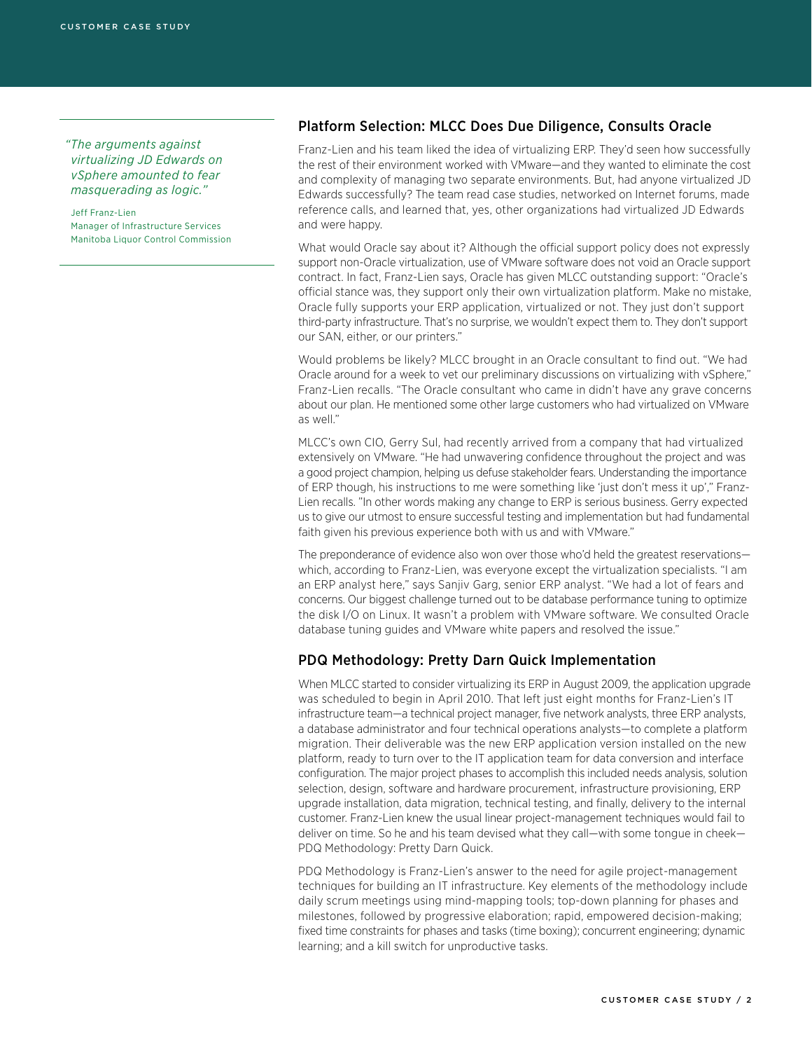*"The arguments against virtualizing JD Edwards on vSphere amounted to fear masquerading as logic."*

Jeff Franz-Lien Manager of Infrastructure Services Manitoba Liquor Control Commission

### Platform Selection: MLCC Does Due Diligence, Consults Oracle

Franz-Lien and his team liked the idea of virtualizing ERP. They'd seen how successfully the rest of their environment worked with VMware—and they wanted to eliminate the cost and complexity of managing two separate environments. But, had anyone virtualized JD Edwards successfully? The team read case studies, networked on Internet forums, made reference calls, and learned that, yes, other organizations had virtualized JD Edwards and were happy.

What would Oracle say about it? Although the official support policy does not expressly support non-Oracle virtualization, use of VMware software does not void an Oracle support contract. In fact, Franz-Lien says, Oracle has given MLCC outstanding support: "Oracle's official stance was, they support only their own virtualization platform. Make no mistake, Oracle fully supports your ERP application, virtualized or not. They just don't support third-party infrastructure. That's no surprise, we wouldn't expect them to. They don't support our SAN, either, or our printers."

Would problems be likely? MLCC brought in an Oracle consultant to find out. "We had Oracle around for a week to vet our preliminary discussions on virtualizing with vSphere," Franz-Lien recalls. "The Oracle consultant who came in didn't have any grave concerns about our plan. He mentioned some other large customers who had virtualized on VMware as well."

MLCC's own CIO, Gerry Sul, had recently arrived from a company that had virtualized extensively on VMware. "He had unwavering confidence throughout the project and was a good project champion, helping us defuse stakeholder fears. Understanding the importance of ERP though, his instructions to me were something like 'just don't mess it up'," Franz-Lien recalls. "In other words making any change to ERP is serious business. Gerry expected us to give our utmost to ensure successful testing and implementation but had fundamental faith given his previous experience both with us and with VMware."

The preponderance of evidence also won over those who'd held the greatest reservations which, according to Franz-Lien, was everyone except the virtualization specialists. "I am an ERP analyst here," says Sanjiv Garg, senior ERP analyst. "We had a lot of fears and concerns. Our biggest challenge turned out to be database performance tuning to optimize the disk I/O on Linux. It wasn't a problem with VMware software. We consulted Oracle database tuning guides and VMware white papers and resolved the issue."

### PDQ Methodology: Pretty Darn Quick Implementation

When MLCC started to consider virtualizing its ERP in August 2009, the application upgrade was scheduled to begin in April 2010. That left just eight months for Franz-Lien's IT infrastructure team—a technical project manager, five network analysts, three ERP analysts, a database administrator and four technical operations analysts—to complete a platform migration. Their deliverable was the new ERP application version installed on the new platform, ready to turn over to the IT application team for data conversion and interface configuration. The major project phases to accomplish this included needs analysis, solution selection, design, software and hardware procurement, infrastructure provisioning, ERP upgrade installation, data migration, technical testing, and finally, delivery to the internal customer. Franz-Lien knew the usual linear project-management techniques would fail to deliver on time. So he and his team devised what they call—with some tongue in cheek— PDQ Methodology: Pretty Darn Quick.

PDQ Methodology is Franz-Lien's answer to the need for agile project-management techniques for building an IT infrastructure. Key elements of the methodology include daily scrum meetings using mind-mapping tools; top-down planning for phases and milestones, followed by progressive elaboration; rapid, empowered decision-making; fixed time constraints for phases and tasks (time boxing); concurrent engineering; dynamic learning; and a kill switch for unproductive tasks.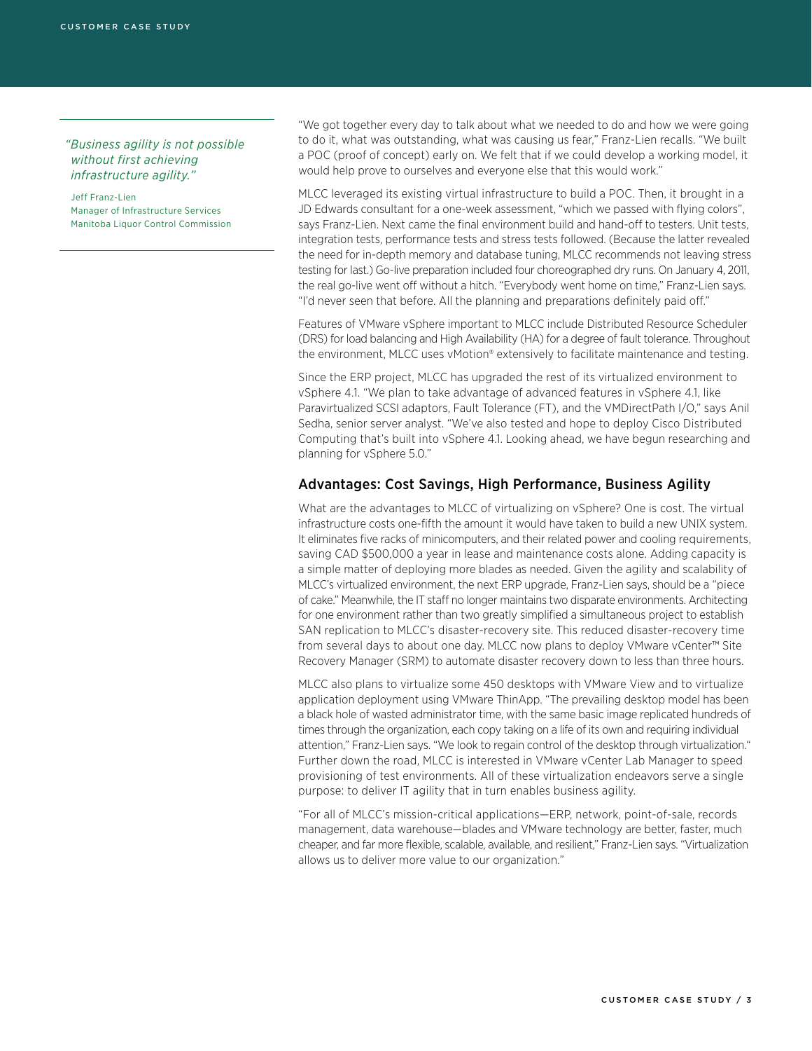*"Business agility is not possible without first achieving infrastructure agility."*

Jeff Franz-Lien Manager of Infrastructure Services Manitoba Liquor Control Commission

"We got together every day to talk about what we needed to do and how we were going to do it, what was outstanding, what was causing us fear," Franz-Lien recalls. "We built a POC (proof of concept) early on. We felt that if we could develop a working model, it would help prove to ourselves and everyone else that this would work."

MLCC leveraged its existing virtual infrastructure to build a POC. Then, it brought in a JD Edwards consultant for a one-week assessment, "which we passed with flying colors", says Franz-Lien. Next came the final environment build and hand-off to testers. Unit tests, integration tests, performance tests and stress tests followed. (Because the latter revealed the need for in-depth memory and database tuning, MLCC recommends not leaving stress testing for last.) Go-live preparation included four choreographed dry runs. On January 4, 2011, the real go-live went off without a hitch. "Everybody went home on time," Franz-Lien says. "I'd never seen that before. All the planning and preparations definitely paid off."

Features of VMware vSphere important to MLCC include Distributed Resource Scheduler (DRS) for load balancing and High Availability (HA) for a degree of fault tolerance. Throughout the environment, MLCC uses vMotion® extensively to facilitate maintenance and testing.

Since the ERP project, MLCC has upgraded the rest of its virtualized environment to vSphere 4.1. "We plan to take advantage of advanced features in vSphere 4.1, like Paravirtualized SCSI adaptors, Fault Tolerance (FT), and the VMDirectPath I/O," says Anil Sedha, senior server analyst. "We've also tested and hope to deploy Cisco Distributed Computing that's built into vSphere 4.1. Looking ahead, we have begun researching and planning for vSphere 5.0."

### Advantages: Cost Savings, High Performance, Business Agility

What are the advantages to MLCC of virtualizing on vSphere? One is cost. The virtual infrastructure costs one-fifth the amount it would have taken to build a new UNIX system. It eliminates five racks of minicomputers, and their related power and cooling requirements, saving CAD \$500,000 a year in lease and maintenance costs alone. Adding capacity is a simple matter of deploying more blades as needed. Given the agility and scalability of MLCC's virtualized environment, the next ERP upgrade, Franz-Lien says, should be a "piece of cake." Meanwhile, the IT staff no longer maintains two disparate environments. Architecting for one environment rather than two greatly simplified a simultaneous project to establish SAN replication to MLCC's disaster-recovery site. This reduced disaster-recovery time from several days to about one day. MLCC now plans to deploy VMware vCenter™ Site Recovery Manager (SRM) to automate disaster recovery down to less than three hours.

MLCC also plans to virtualize some 450 desktops with VMware View and to virtualize application deployment using VMware ThinApp. "The prevailing desktop model has been a black hole of wasted administrator time, with the same basic image replicated hundreds of times through the organization, each copy taking on a life of its own and requiring individual attention," Franz-Lien says. "We look to regain control of the desktop through virtualization." Further down the road, MLCC is interested in VMware vCenter Lab Manager to speed provisioning of test environments. All of these virtualization endeavors serve a single purpose: to deliver IT agility that in turn enables business agility.

"For all of MLCC's mission-critical applications—ERP, network, point-of-sale, records management, data warehouse—blades and VMware technology are better, faster, much cheaper, and far more flexible, scalable, available, and resilient," Franz-Lien says. "Virtualization allows us to deliver more value to our organization."